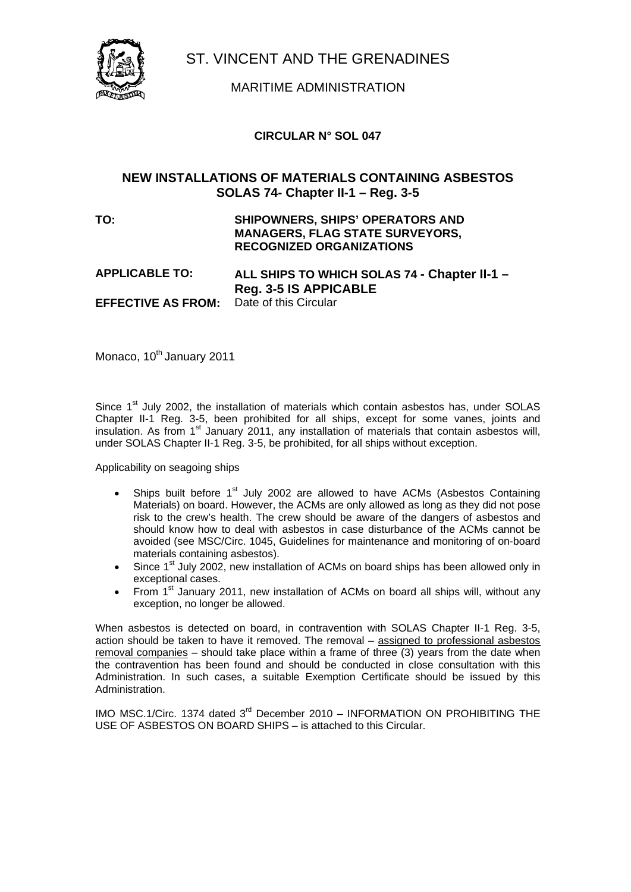

# MARITIME ADMINISTRATION

### **CIRCULAR N° SOL 047**

# **NEW INSTALLATIONS OF MATERIALS CONTAINING ASBESTOS SOLAS 74- Chapter II-1 – Reg. 3-5**

### **TO: SHIPOWNERS, SHIPS' OPERATORS AND MANAGERS, FLAG STATE SURVEYORS, RECOGNIZED ORGANIZATIONS**

### **APPLICABLE TO: ALL SHIPS TO WHICH SOLAS 74 - Chapter II-1 – Reg. 3-5 IS APPICABLE EFFECTIVE AS FROM:**

Monaco, 10<sup>th</sup> January 2011

Since  $1<sup>st</sup>$  July 2002, the installation of materials which contain asbestos has, under SOLAS Chapter II-1 Reg. 3-5, been prohibited for all ships, except for some vanes, joints and insulation. As from 1<sup>st</sup> January 2011, any installation of materials that contain asbestos will, under SOLAS Chapter II-1 Reg. 3-5, be prohibited, for all ships without exception.

Applicability on seagoing ships

- Ships built before 1<sup>st</sup> July 2002 are allowed to have ACMs (Asbestos Containing Materials) on board. However, the ACMs are only allowed as long as they did not pose risk to the crew's health. The crew should be aware of the dangers of asbestos and should know how to deal with asbestos in case disturbance of the ACMs cannot be avoided (see MSC/Circ. 1045, Guidelines for maintenance and monitoring of on-board materials containing asbestos).
- Since 1<sup>st</sup> July 2002, new installation of ACMs on board ships has been allowed only in exceptional cases.
- From 1<sup>st</sup> January 2011, new installation of ACMs on board all ships will, without any exception, no longer be allowed.

When asbestos is detected on board, in contravention with SOLAS Chapter II-1 Reg. 3-5, action should be taken to have it removed. The removal – assigned to professional asbestos removal companies – should take place within a frame of three (3) years from the date when the contravention has been found and should be conducted in close consultation with this Administration. In such cases, a suitable Exemption Certificate should be issued by this Administration.

IMO MSC.1/Circ. 1374 dated 3<sup>rd</sup> December 2010 - INFORMATION ON PROHIBITING THE USE OF ASBESTOS ON BOARD SHIPS – is attached to this Circular.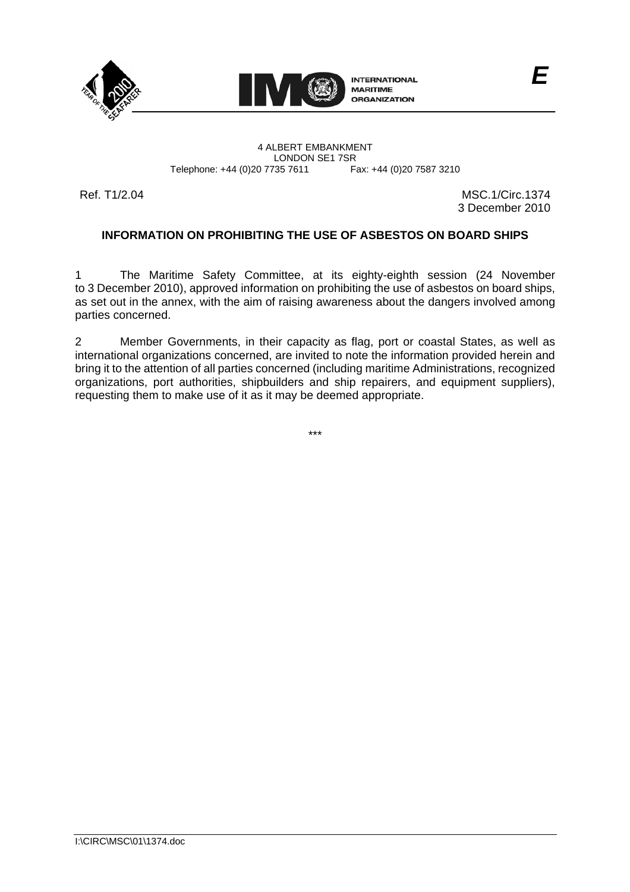



LONDON SE1 7SR<br>735 7611 Fax: +44 (0)20 7587 3210

Ref. T1/2.04 MSC.1/Circ.1374 3 December 2010

# **INFORMATION ON PROHIBITING THE USE OF ASBESTOS ON BOARD SHIPS**

1 The Maritime Safety Committee, at its eighty-eighth session (24 November to 3 December 2010), approved information on prohibiting the use of asbestos on board ships, as set out in the annex, with the aim of raising awareness about the dangers involved among parties concerned.

2 Member Governments, in their capacity as flag, port or coastal States, as well as international organizations concerned, are invited to note the information provided herein and bring it to the attention of all parties concerned (including maritime Administrations, recognized organizations, port authorities, shipbuilders and ship repairers, and equipment suppliers), requesting them to make use of it as it may be deemed appropriate.

\*\*\*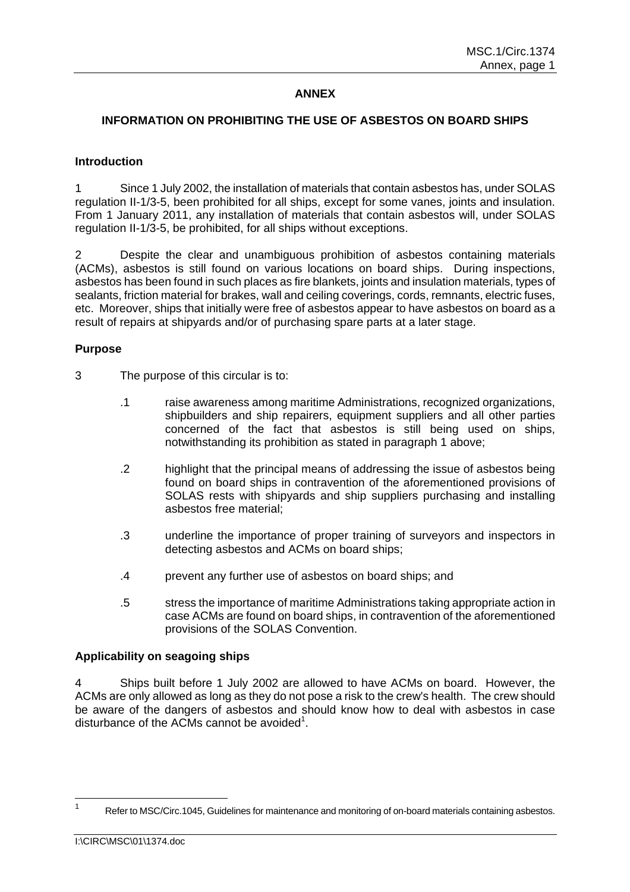# **ANNEX**

### **INFORMATION ON PROHIBITING THE USE OF ASBESTOS ON BOARD SHIPS**

#### **Introduction**

1 Since 1 July 2002, the installation of materials that contain asbestos has, under SOLAS regulation II-1/3-5, been prohibited for all ships, except for some vanes, joints and insulation. From 1 January 2011, any installation of materials that contain asbestos will, under SOLAS regulation II-1/3-5, be prohibited, for all ships without exceptions.

2 Despite the clear and unambiguous prohibition of asbestos containing materials (ACMs), asbestos is still found on various locations on board ships. During inspections, asbestos has been found in such places as fire blankets, joints and insulation materials, types of sealants, friction material for brakes, wall and ceiling coverings, cords, remnants, electric fuses, etc. Moreover, ships that initially were free of asbestos appear to have asbestos on board as a result of repairs at shipyards and/or of purchasing spare parts at a later stage.

#### **Purpose**

- 3 The purpose of this circular is to:
	- .1 raise awareness among maritime Administrations, recognized organizations, shipbuilders and ship repairers, equipment suppliers and all other parties concerned of the fact that asbestos is still being used on ships, notwithstanding its prohibition as stated in paragraph 1 above;
	- .2 highlight that the principal means of addressing the issue of asbestos being found on board ships in contravention of the aforementioned provisions of SOLAS rests with shipyards and ship suppliers purchasing and installing asbestos free material;
	- .3 underline the importance of proper training of surveyors and inspectors in detecting asbestos and ACMs on board ships;
	- .4 prevent any further use of asbestos on board ships; and
	- .5 stress the importance of maritime Administrations taking appropriate action in case ACMs are found on board ships, in contravention of the aforementioned provisions of the SOLAS Convention.

#### **Applicability on seagoing ships**

4 Ships built before 1 July 2002 are allowed to have ACMs on board. However, the ACMs are only allowed as long as they do not pose a risk to the crew's health. The crew should be aware of the dangers of asbestos and should know how to deal with asbestos in case disturbance of the ACMs cannot be avoided<sup>1</sup>.

 $\frac{1}{1}$ Refer to MSC/Circ.1045, Guidelines for maintenance and monitoring of on-board materials containing asbestos.